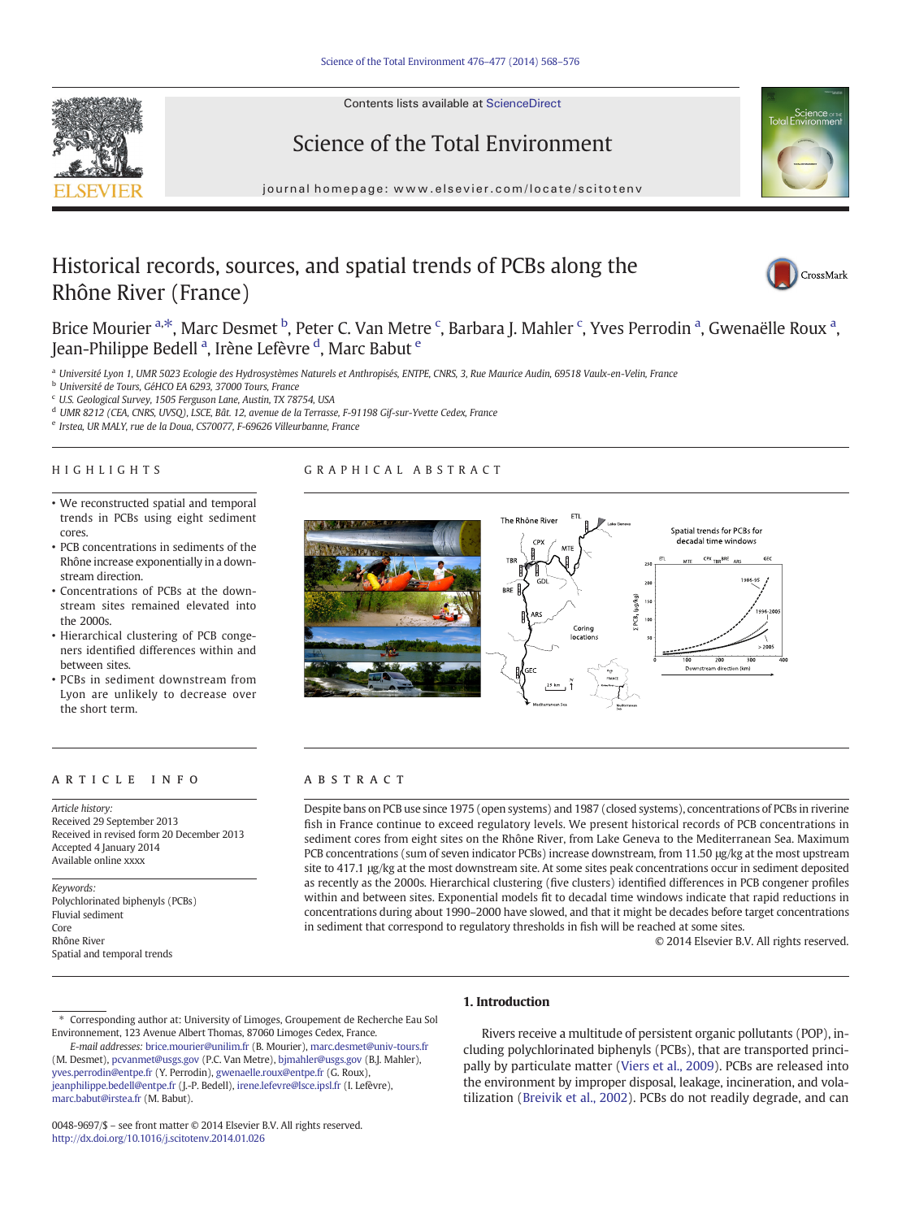Contents lists available at ScienceDirect





# Science of the Total Environment

journal homepage: www.elsevier.com/locate/scitotenv

# Historical records, sources, and spatial trends of PCBs along the Rhône River (France)



Brice Mourier <sup>a,\*</sup>, Marc Desmet <sup>b</sup>, Peter C. Van Metre <sup>c</sup>, Barbara J. Mahler <sup>c</sup>, Yves Perrodin <sup>a</sup>, Gwenaëlle Roux <sup>a</sup>, Jean-Philippe Bedell <sup>a</sup>, Irène Lefèvre <sup>d</sup>, Marc Babut <sup>e</sup>

a Université Lyon 1, UMR 5023 Ecologie des Hydrosystèmes Naturels et Anthropisés, ENTPE, CNRS, 3, Rue Maurice Audin, 69518 Vaulx-en-Velin, France

<sup>b</sup> Université de Tours, GéHCO EA 6293, 37000 Tours, France

<sup>c</sup> U.S. Geological Survey, 1505 Ferguson Lane, Austin, TX 78754, USA

<sup>d</sup> UMR 8212 (CEA, CNRS, UVSQ), LSCE, Bât. 12, avenue de la Terrasse, F-91198 Gif-sur-Yvette Cedex, France

<sup>e</sup> Irstea, UR MALY, rue de la Doua, CS70077, F-69626 Villeurbanne, France

#### HIGHLIGHTS

### GRAPHICAL ABSTRACT

- We reconstructed spatial and temporal trends in PCBs using eight sediment cores.
- PCB concentrations in sediments of the Rhône increase exponentially in a downstream direction.
- Concentrations of PCBs at the downstream sites remained elevated into the 2000s.
- Hierarchical clustering of PCB congeners identified differences within and between sites.
- PCBs in sediment downstream from Lyon are unlikely to decrease over the short term.

### article info abstract

Article history: Received 29 September 2013 Received in revised form 20 December 2013 Accepted 4 January 2014 Available online xxxx

Keywords: Polychlorinated biphenyls (PCBs) Fluvial sediment Core Rhône River Spatial and temporal trends



Despite bans on PCB use since 1975 (open systems) and 1987 (closed systems), concentrations of PCBs in riverine fish in France continue to exceed regulatory levels. We present historical records of PCB concentrations in sediment cores from eight sites on the Rhône River, from Lake Geneva to the Mediterranean Sea. Maximum PCB concentrations (sum of seven indicator PCBs) increase downstream, from 11.50 μg/kg at the most upstream site to 417.1 μg/kg at the most downstream site. At some sites peak concentrations occur in sediment deposited as recently as the 2000s. Hierarchical clustering (five clusters) identified differences in PCB congener profiles within and between sites. Exponential models fit to decadal time windows indicate that rapid reductions in concentrations during about 1990–2000 have slowed, and that it might be decades before target concentrations in sediment that correspond to regulatory thresholds in fish will be reached at some sites.

© 2014 Elsevier B.V. All rights reserved.

⁎ Corresponding author at: University of Limoges, Groupement de Recherche Eau Sol Environnement, 123 Avenue Albert Thomas, 87060 Limoges Cedex, France.

E-mail addresses: [brice.mourier@unilim.fr](mailto:brice.mourier@unilim.fr) (B. Mourier), [marc.desmet@univ-tours.fr](mailto:marc.desmet@univ-tours.fr) (M. Desmet), [pcvanmet@usgs.gov](mailto:pcvanmet@usgs.gov) (P.C. Van Metre), [bjmahler@usgs.gov](mailto:bjmahler@usgs.gov) (B.J. Mahler), [yves.perrodin@entpe.fr](mailto:yves.perrodin@entpe.fr) (Y. Perrodin), [gwenaelle.roux@entpe.fr](mailto:gwenaelle.roux@entpe.fr) (G. Roux), [jeanphilippe.bedell@entpe.fr](mailto:jeanphilippe.bedell@entpe.fr) (J.-P. Bedell), [irene.lefevre@lsce.ipsl.fr](mailto:irene.lefevre@lsce.ipsl.fr) (I. Lefèvre), [marc.babut@irstea.fr](mailto:marc.babut@irstea.fr) (M. Babut).

## 1. Introduction

Rivers receive a multitude of persistent organic pollutants (POP), including polychlorinated biphenyls (PCBs), that are transported principally by particulate matter [\(Viers et al., 2009\)](#page-8-0). PCBs are released into the environment by improper disposal, leakage, incineration, and volatilization [\(Breivik et al., 2002\)](#page-7-0). PCBs do not readily degrade, and can

<sup>0048-9697/\$</sup> – see front matter © 2014 Elsevier B.V. All rights reserved. <http://dx.doi.org/10.1016/j.scitotenv.2014.01.026>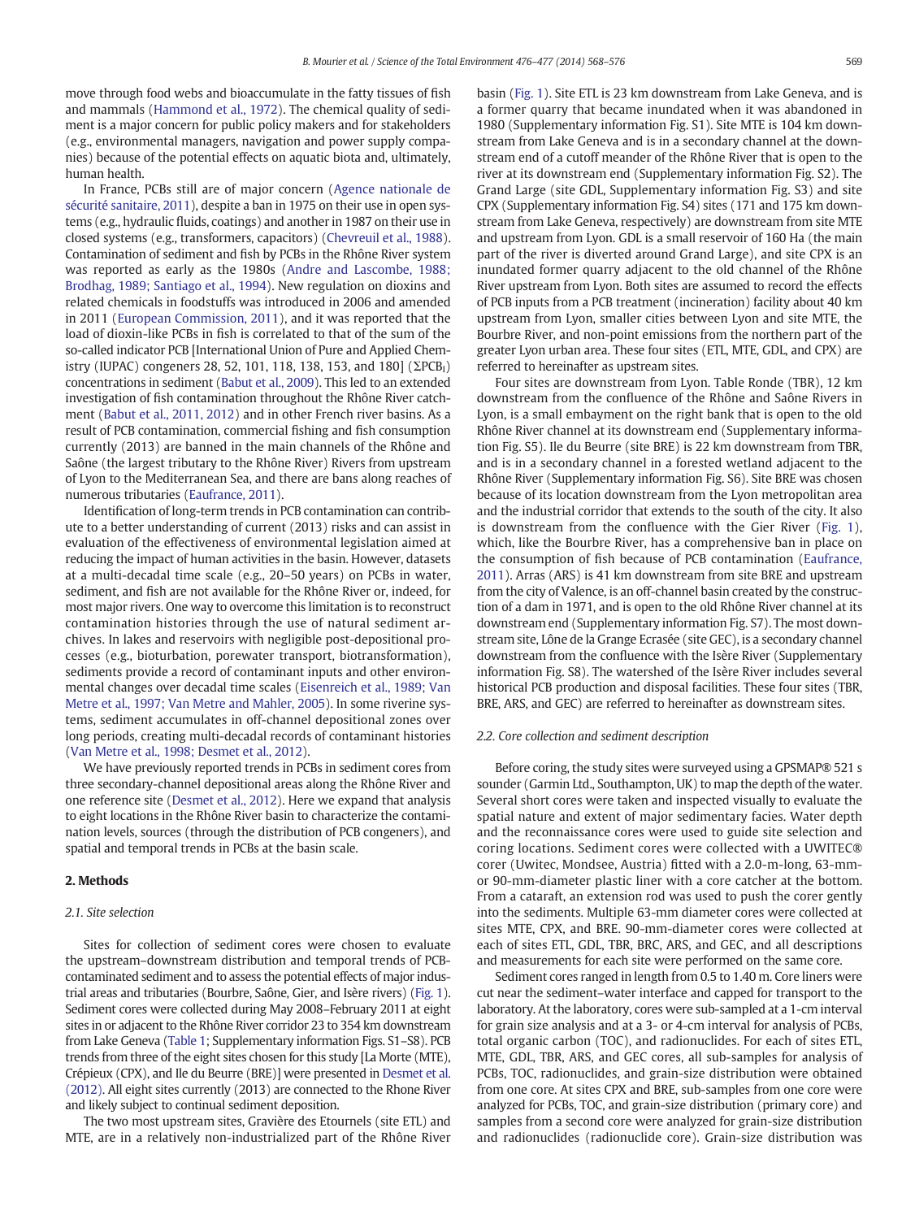move through food webs and bioaccumulate in the fatty tissues of fish and mammals [\(Hammond et al., 1972\)](#page-7-0). The chemical quality of sediment is a major concern for public policy makers and for stakeholders (e.g., environmental managers, navigation and power supply companies) because of the potential effects on aquatic biota and, ultimately, human health.

In France, PCBs still are of major concern [\(Agence nationale de](#page-7-0) [sécurité sanitaire, 2011\)](#page-7-0), despite a ban in 1975 on their use in open systems (e.g., hydraulic fluids, coatings) and another in 1987 on their use in closed systems (e.g., transformers, capacitors) ([Chevreuil et al., 1988](#page-7-0)). Contamination of sediment and fish by PCBs in the Rhône River system was reported as early as the 1980s ([Andre and Lascombe, 1988;](#page-7-0) [Brodhag, 1989; Santiago et al., 1994](#page-7-0)). New regulation on dioxins and related chemicals in foodstuffs was introduced in 2006 and amended in 2011 [\(European Commission, 2011\)](#page-7-0), and it was reported that the load of dioxin-like PCBs in fish is correlated to that of the sum of the so-called indicator PCB [International Union of Pure and Applied Chemistry (IUPAC) congeners 28, 52, 101, 118, 138, 153, and 180] ( $\Sigma$ PCB<sub>I</sub>) concentrations in sediment [\(Babut et al., 2009](#page-7-0)). This led to an extended investigation of fish contamination throughout the Rhône River catchment [\(Babut et al., 2011, 2012\)](#page-7-0) and in other French river basins. As a result of PCB contamination, commercial fishing and fish consumption currently (2013) are banned in the main channels of the Rhône and Saône (the largest tributary to the Rhône River) Rivers from upstream of Lyon to the Mediterranean Sea, and there are bans along reaches of numerous tributaries [\(Eaufrance, 2011\)](#page-7-0).

Identification of long-term trends in PCB contamination can contribute to a better understanding of current (2013) risks and can assist in evaluation of the effectiveness of environmental legislation aimed at reducing the impact of human activities in the basin. However, datasets at a multi-decadal time scale (e.g., 20–50 years) on PCBs in water, sediment, and fish are not available for the Rhône River or, indeed, for most major rivers. One way to overcome this limitation is to reconstruct contamination histories through the use of natural sediment archives. In lakes and reservoirs with negligible post-depositional processes (e.g., bioturbation, porewater transport, biotransformation), sediments provide a record of contaminant inputs and other environmental changes over decadal time scales [\(Eisenreich et al., 1989; Van](#page-7-0) [Metre et al., 1997; Van Metre and Mahler, 2005\)](#page-7-0). In some riverine systems, sediment accumulates in off-channel depositional zones over long periods, creating multi-decadal records of contaminant histories [\(Van Metre et al., 1998; Desmet et al., 2012\)](#page-8-0).

We have previously reported trends in PCBs in sediment cores from three secondary-channel depositional areas along the Rhône River and one reference site ([Desmet et al., 2012](#page-7-0)). Here we expand that analysis to eight locations in the Rhône River basin to characterize the contamination levels, sources (through the distribution of PCB congeners), and spatial and temporal trends in PCBs at the basin scale.

### 2. Methods

#### 2.1. Site selection

Sites for collection of sediment cores were chosen to evaluate the upstream–downstream distribution and temporal trends of PCBcontaminated sediment and to assess the potential effects of major industrial areas and tributaries (Bourbre, Saône, Gier, and Isère rivers) [\(Fig. 1](#page-2-0)). Sediment cores were collected during May 2008–February 2011 at eight sites in or adjacent to the Rhône River corridor 23 to 354 km downstream from Lake Geneva [\(Table 1](#page-3-0); Supplementary information Figs. S1–S8). PCB trends from three of the eight sites chosen for this study [La Morte (MTE), Crépieux (CPX), and Ile du Beurre (BRE)] were presented in [Desmet et al.](#page-7-0) [\(2012\).](#page-7-0) All eight sites currently (2013) are connected to the Rhone River and likely subject to continual sediment deposition.

The two most upstream sites, Gravière des Etournels (site ETL) and MTE, are in a relatively non-industrialized part of the Rhône River basin [\(Fig. 1\)](#page-2-0). Site ETL is 23 km downstream from Lake Geneva, and is a former quarry that became inundated when it was abandoned in 1980 (Supplementary information Fig. S1). Site MTE is 104 km downstream from Lake Geneva and is in a secondary channel at the downstream end of a cutoff meander of the Rhône River that is open to the river at its downstream end (Supplementary information Fig. S2). The Grand Large (site GDL, Supplementary information Fig. S3) and site CPX (Supplementary information Fig. S4) sites (171 and 175 km downstream from Lake Geneva, respectively) are downstream from site MTE and upstream from Lyon. GDL is a small reservoir of 160 Ha (the main part of the river is diverted around Grand Large), and site CPX is an inundated former quarry adjacent to the old channel of the Rhône River upstream from Lyon. Both sites are assumed to record the effects of PCB inputs from a PCB treatment (incineration) facility about 40 km upstream from Lyon, smaller cities between Lyon and site MTE, the Bourbre River, and non-point emissions from the northern part of the greater Lyon urban area. These four sites (ETL, MTE, GDL, and CPX) are referred to hereinafter as upstream sites.

Four sites are downstream from Lyon. Table Ronde (TBR), 12 km downstream from the confluence of the Rhône and Saône Rivers in Lyon, is a small embayment on the right bank that is open to the old Rhône River channel at its downstream end (Supplementary information Fig. S5). Ile du Beurre (site BRE) is 22 km downstream from TBR, and is in a secondary channel in a forested wetland adjacent to the Rhône River (Supplementary information Fig. S6). Site BRE was chosen because of its location downstream from the Lyon metropolitan area and the industrial corridor that extends to the south of the city. It also is downstream from the confluence with the Gier River ([Fig. 1](#page-2-0)), which, like the Bourbre River, has a comprehensive ban in place on the consumption of fish because of PCB contamination [\(Eaufrance,](#page-7-0) [2011\)](#page-7-0). Arras (ARS) is 41 km downstream from site BRE and upstream from the city of Valence, is an off-channel basin created by the construction of a dam in 1971, and is open to the old Rhône River channel at its downstream end (Supplementary information Fig. S7). The most downstream site, Lône de la Grange Ecrasée (site GEC), is a secondary channel downstream from the confluence with the Isère River (Supplementary information Fig. S8). The watershed of the Isère River includes several historical PCB production and disposal facilities. These four sites (TBR, BRE, ARS, and GEC) are referred to hereinafter as downstream sites.

#### 2.2. Core collection and sediment description

Before coring, the study sites were surveyed using a GPSMAP® 521 s sounder (Garmin Ltd., Southampton, UK) to map the depth of the water. Several short cores were taken and inspected visually to evaluate the spatial nature and extent of major sedimentary facies. Water depth and the reconnaissance cores were used to guide site selection and coring locations. Sediment cores were collected with a UWITEC® corer (Uwitec, Mondsee, Austria) fitted with a 2.0-m-long, 63-mmor 90-mm-diameter plastic liner with a core catcher at the bottom. From a cataraft, an extension rod was used to push the corer gently into the sediments. Multiple 63-mm diameter cores were collected at sites MTE, CPX, and BRE. 90-mm-diameter cores were collected at each of sites ETL, GDL, TBR, BRC, ARS, and GEC, and all descriptions and measurements for each site were performed on the same core.

Sediment cores ranged in length from 0.5 to 1.40 m. Core liners were cut near the sediment–water interface and capped for transport to the laboratory. At the laboratory, cores were sub-sampled at a 1-cm interval for grain size analysis and at a 3- or 4-cm interval for analysis of PCBs, total organic carbon (TOC), and radionuclides. For each of sites ETL, MTE, GDL, TBR, ARS, and GEC cores, all sub-samples for analysis of PCBs, TOC, radionuclides, and grain-size distribution were obtained from one core. At sites CPX and BRE, sub-samples from one core were analyzed for PCBs, TOC, and grain-size distribution (primary core) and samples from a second core were analyzed for grain-size distribution and radionuclides (radionuclide core). Grain-size distribution was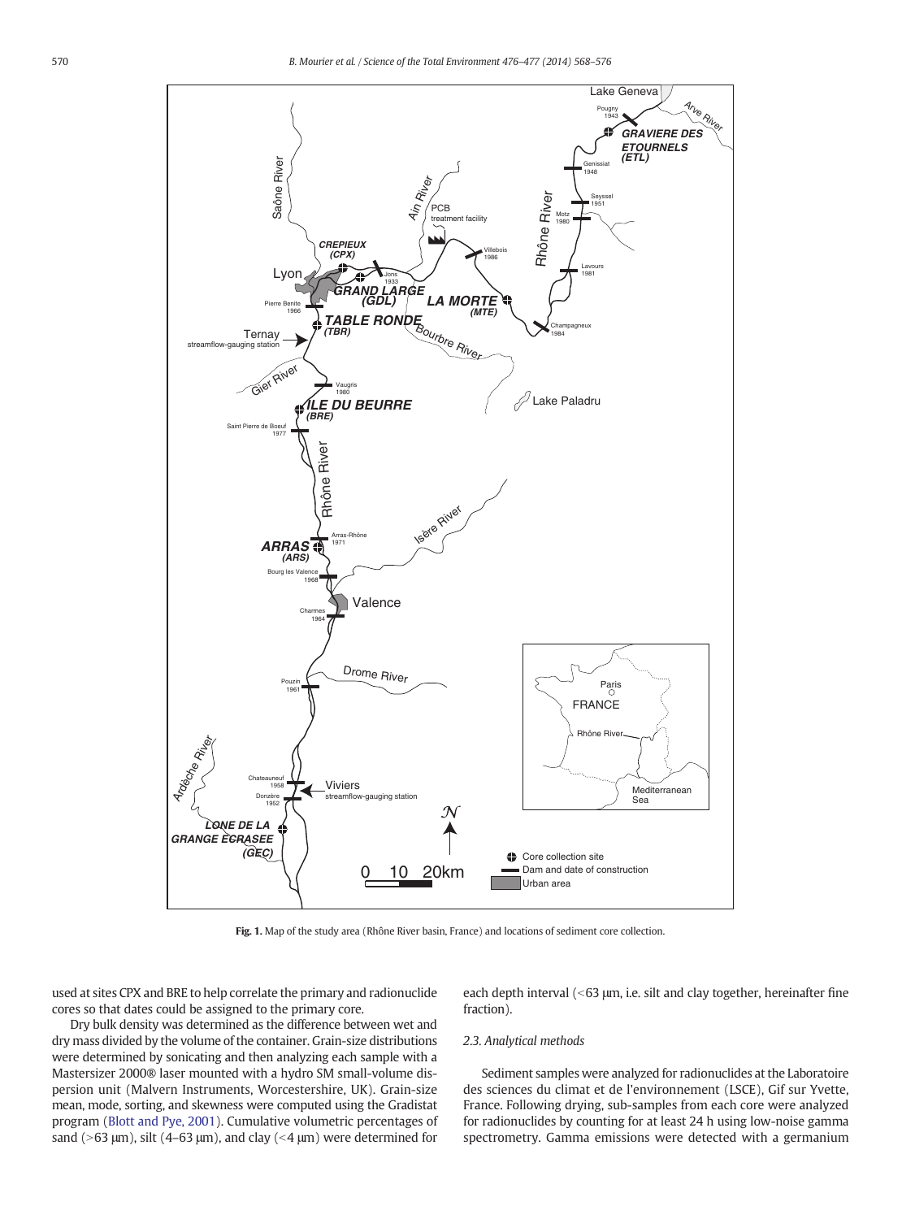<span id="page-2-0"></span>

Fig. 1. Map of the study area (Rhône River basin, France) and locations of sediment core collection.

used at sites CPX and BRE to help correlate the primary and radionuclide cores so that dates could be assigned to the primary core.

Dry bulk density was determined as the difference between wet and dry mass divided by the volume of the container. Grain-size distributions were determined by sonicating and then analyzing each sample with a Mastersizer 2000® laser mounted with a hydro SM small-volume dispersion unit (Malvern Instruments, Worcestershire, UK). Grain-size mean, mode, sorting, and skewness were computed using the Gradistat program [\(Blott and Pye, 2001](#page-7-0)). Cumulative volumetric percentages of sand ( $>63$  μm), silt (4–63 μm), and clay ( $<$ 4 μm) were determined for

each depth interval  $\left($  <63 µm, i.e. silt and clay together, hereinafter fine fraction).

#### 2.3. Analytical methods

Sediment samples were analyzed for radionuclides at the Laboratoire des sciences du climat et de l'environnement (LSCE), Gif sur Yvette, France. Following drying, sub-samples from each core were analyzed for radionuclides by counting for at least 24 h using low-noise gamma spectrometry. Gamma emissions were detected with a germanium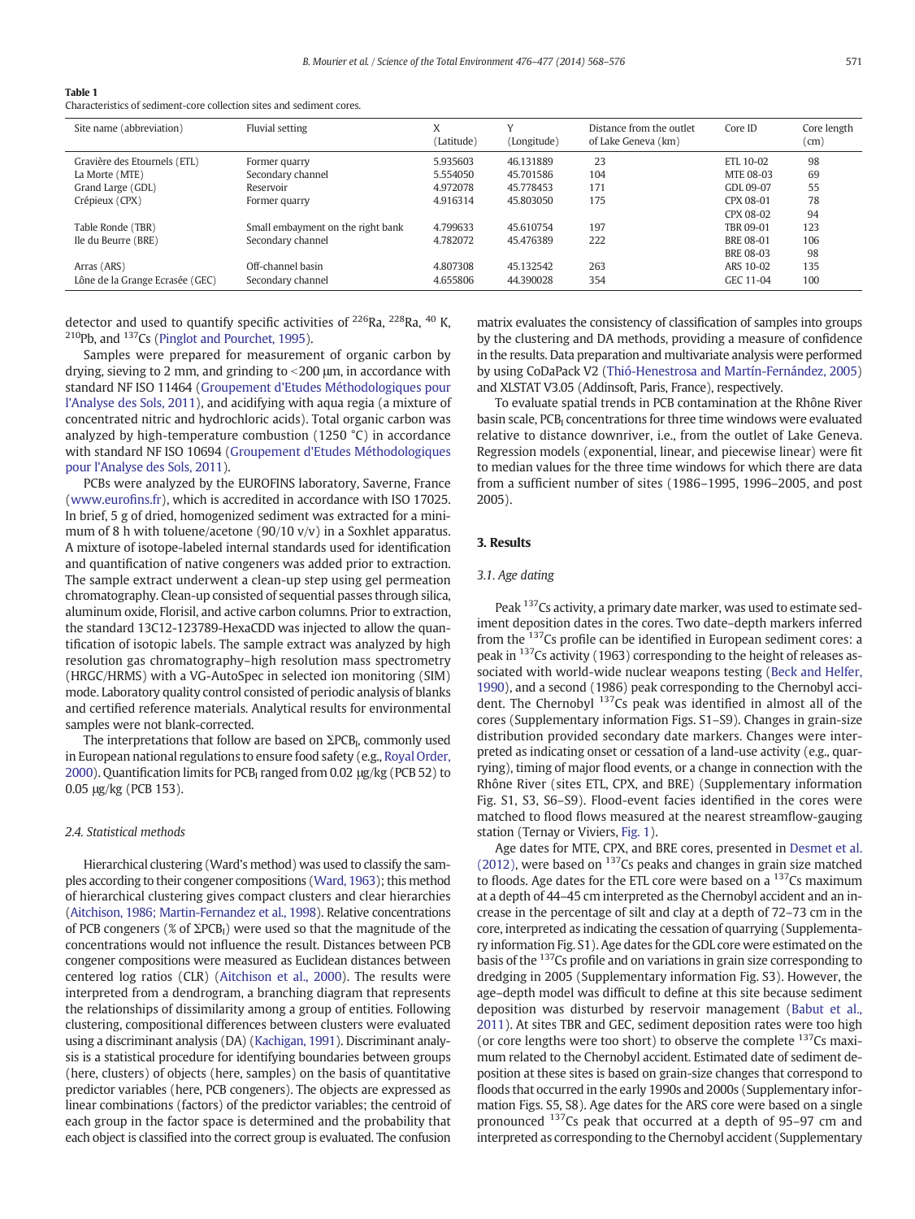#### <span id="page-3-0"></span>Table 1

Characteristics of sediment-core collection sites and sediment cores.

| Site name (abbreviation)        | Fluvial setting                   | X<br>(Latitude) | (Longitude) | Distance from the outlet<br>of Lake Geneva (km) | Core ID    | Core length<br>$\text{(cm)}$ |
|---------------------------------|-----------------------------------|-----------------|-------------|-------------------------------------------------|------------|------------------------------|
| Gravière des Etournels (ETL)    | Former quarry                     | 5.935603        | 46.131889   | 23                                              | ETI. 10-02 | 98                           |
| La Morte (MTE)                  | Secondary channel                 | 5.554050        | 45.701586   | 104                                             | MTE 08-03  | 69                           |
| Grand Large (GDL)               | Reservoir                         | 4.972078        | 45.778453   | 171                                             | GDL 09-07  | 55                           |
| Crépieux (CPX)                  | Former quarry                     | 4.916314        | 45.803050   | 175                                             | CPX 08-01  | 78                           |
|                                 |                                   |                 |             |                                                 | CPX 08-02  | 94                           |
| Table Ronde (TBR)               | Small embayment on the right bank | 4.799633        | 45.610754   | 197                                             | TBR 09-01  | 123                          |
| Ile du Beurre (BRE)             | Secondary channel                 | 4.782072        | 45.476389   | 222                                             | BRE 08-01  | 106                          |
|                                 |                                   |                 |             |                                                 | BRE 08-03  | 98                           |
| Arras (ARS)                     | Off-channel basin                 | 4.807308        | 45.132542   | 263                                             | ARS 10-02  | 135                          |
| Lône de la Grange Ecrasée (GEC) | Secondary channel                 | 4.655806        | 44.390028   | 354                                             | GEC 11-04  | 100                          |

detector and used to quantify specific activities of  $^{226}$ Ra,  $^{228}$ Ra,  $^{40}$  K, 210Pb, and 137Cs ([Pinglot and Pourchet, 1995\)](#page-7-0).

Samples were prepared for measurement of organic carbon by drying, sieving to 2 mm, and grinding to  $\lt$  200  $\mu$ m, in accordance with standard NF ISO 11464 ([Groupement d'Etudes Méthodologiques pour](#page-7-0) [l'Analyse des Sols, 2011](#page-7-0)), and acidifying with aqua regia (a mixture of concentrated nitric and hydrochloric acids). Total organic carbon was analyzed by high-temperature combustion (1250 °C) in accordance with standard NF ISO 10694 [\(Groupement d'Etudes Méthodologiques](#page-7-0) [pour l'Analyse des Sols, 2011](#page-7-0)).

PCBs were analyzed by the EUROFINS laboratory, Saverne, France [\(www.euro](http://www.eurofins.fr))fins.fr), which is accredited in accordance with ISO 17025. In brief, 5 g of dried, homogenized sediment was extracted for a minimum of 8 h with toluene/acetone (90/10 v/v) in a Soxhlet apparatus. A mixture of isotope-labeled internal standards used for identification and quantification of native congeners was added prior to extraction. The sample extract underwent a clean-up step using gel permeation chromatography. Clean-up consisted of sequential passes through silica, aluminum oxide, Florisil, and active carbon columns. Prior to extraction, the standard 13C12-123789-HexaCDD was injected to allow the quantification of isotopic labels. The sample extract was analyzed by high resolution gas chromatography–high resolution mass spectrometry (HRGC/HRMS) with a VG-AutoSpec in selected ion monitoring (SIM) mode. Laboratory quality control consisted of periodic analysis of blanks and certified reference materials. Analytical results for environmental samples were not blank-corrected.

The interpretations that follow are based on  $\Sigma$ PCB<sub>I</sub>, commonly used in European national regulations to ensure food safety (e.g., [Royal Order,](#page-7-0) [2000](#page-7-0)). Quantification limits for PCB<sub>I</sub> ranged from 0.02 μg/kg (PCB 52) to 0.05 μg/kg (PCB 153).

#### 2.4. Statistical methods

Hierarchical clustering (Ward's method) was used to classify the samples according to their congener compositions [\(Ward, 1963\)](#page-8-0); this method of hierarchical clustering gives compact clusters and clear hierarchies [\(Aitchison, 1986; Martin-Fernandez et al., 1998\)](#page-7-0). Relative concentrations of PCB congeners (% of  $\Sigma$ PCB<sub>I</sub>) were used so that the magnitude of the concentrations would not influence the result. Distances between PCB congener compositions were measured as Euclidean distances between centered log ratios (CLR) [\(Aitchison et al., 2000](#page-7-0)). The results were interpreted from a dendrogram, a branching diagram that represents the relationships of dissimilarity among a group of entities. Following clustering, compositional differences between clusters were evaluated using a discriminant analysis (DA) ([Kachigan, 1991](#page-7-0)). Discriminant analysis is a statistical procedure for identifying boundaries between groups (here, clusters) of objects (here, samples) on the basis of quantitative predictor variables (here, PCB congeners). The objects are expressed as linear combinations (factors) of the predictor variables; the centroid of each group in the factor space is determined and the probability that each object is classified into the correct group is evaluated. The confusion matrix evaluates the consistency of classification of samples into groups by the clustering and DA methods, providing a measure of confidence in the results. Data preparation and multivariate analysis were performed by using CoDaPack V2 [\(Thió-Henestrosa and Martín-Fernández, 2005](#page-8-0)) and XLSTAT V3.05 (Addinsoft, Paris, France), respectively.

To evaluate spatial trends in PCB contamination at the Rhône River basin scale. PCB<sub>I</sub> concentrations for three time windows were evaluated relative to distance downriver, i.e., from the outlet of Lake Geneva. Regression models (exponential, linear, and piecewise linear) were fit to median values for the three time windows for which there are data from a sufficient number of sites (1986–1995, 1996–2005, and post 2005).

#### 3. Results

#### 3.1. Age dating

Peak 137Cs activity, a primary date marker, was used to estimate sediment deposition dates in the cores. Two date–depth markers inferred from the <sup>137</sup>Cs profile can be identified in European sediment cores: a peak in 137Cs activity (1963) corresponding to the height of releases associated with world-wide nuclear weapons testing [\(Beck and Helfer,](#page-7-0) [1990](#page-7-0)), and a second (1986) peak corresponding to the Chernobyl accident. The Chernobyl 137Cs peak was identified in almost all of the cores (Supplementary information Figs. S1–S9). Changes in grain-size distribution provided secondary date markers. Changes were interpreted as indicating onset or cessation of a land-use activity (e.g., quarrying), timing of major flood events, or a change in connection with the Rhône River (sites ETL, CPX, and BRE) (Supplementary information Fig. S1, S3, S6–S9). Flood-event facies identified in the cores were matched to flood flows measured at the nearest streamflow-gauging station (Ternay or Viviers, [Fig. 1](#page-2-0)).

Age dates for MTE, CPX, and BRE cores, presented in [Desmet et al.](#page-7-0) [\(2012\),](#page-7-0) were based on  $137$ Cs peaks and changes in grain size matched to floods. Age dates for the ETL core were based on a  $137$ Cs maximum at a depth of 44–45 cm interpreted as the Chernobyl accident and an increase in the percentage of silt and clay at a depth of 72–73 cm in the core, interpreted as indicating the cessation of quarrying (Supplementary information Fig. S1). Age dates for the GDL core were estimated on the basis of the 137Cs profile and on variations in grain size corresponding to dredging in 2005 (Supplementary information Fig. S3). However, the age–depth model was difficult to define at this site because sediment deposition was disturbed by reservoir management [\(Babut et al.,](#page-7-0) [2011\)](#page-7-0). At sites TBR and GEC, sediment deposition rates were too high (or core lengths were too short) to observe the complete  $^{137}$ Cs maximum related to the Chernobyl accident. Estimated date of sediment deposition at these sites is based on grain-size changes that correspond to floods that occurred in the early 1990s and 2000s (Supplementary information Figs. S5, S8). Age dates for the ARS core were based on a single pronounced 137Cs peak that occurred at a depth of 95–97 cm and interpreted as corresponding to the Chernobyl accident (Supplementary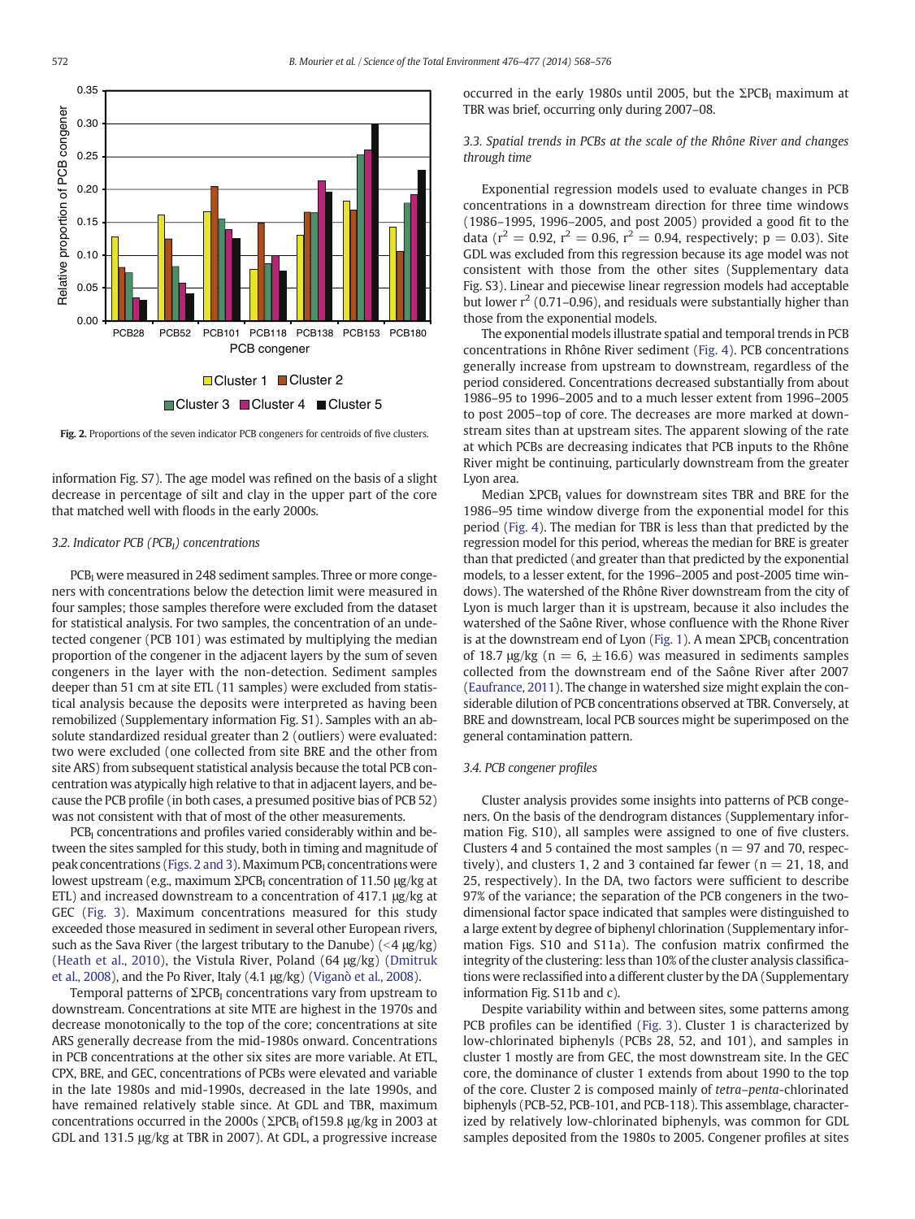<span id="page-4-0"></span>

Fig. 2. Proportions of the seven indicator PCB congeners for centroids of five clusters.

information Fig. S7). The age model was refined on the basis of a slight decrease in percentage of silt and clay in the upper part of the core that matched well with floods in the early 2000s.

#### 3.2. Indicator PCB (PCB $<sub>l</sub>$ ) concentrations</sub>

PCB<sub>I</sub> were measured in 248 sediment samples. Three or more congeners with concentrations below the detection limit were measured in four samples; those samples therefore were excluded from the dataset for statistical analysis. For two samples, the concentration of an undetected congener (PCB 101) was estimated by multiplying the median proportion of the congener in the adjacent layers by the sum of seven congeners in the layer with the non-detection. Sediment samples deeper than 51 cm at site ETL (11 samples) were excluded from statistical analysis because the deposits were interpreted as having been remobilized (Supplementary information Fig. S1). Samples with an absolute standardized residual greater than 2 (outliers) were evaluated: two were excluded (one collected from site BRE and the other from site ARS) from subsequent statistical analysis because the total PCB concentration was atypically high relative to that in adjacent layers, and because the PCB profile (in both cases, a presumed positive bias of PCB 52) was not consistent with that of most of the other measurements.

 $PCB<sub>I</sub>$  concentrations and profiles varied considerably within and between the sites sampled for this study, both in timing and magnitude of peak concentrations (Figs. 2 and 3). Maximum  $PCB<sub>I</sub>$  concentrations were lowest upstream (e.g., maximum ΣPCB<sub>I</sub> concentration of 11.50 μg/kg at ETL) and increased downstream to a concentration of 417.1 μg/kg at GEC ([Fig. 3\)](#page-5-0). Maximum concentrations measured for this study exceeded those measured in sediment in several other European rivers, such as the Sava River (the largest tributary to the Danube) ( $<$ 4 μg/kg) [\(Heath et al., 2010](#page-7-0)), the Vistula River, Poland (64 μg/kg) ([Dmitruk](#page-7-0) [et al., 2008](#page-7-0)), and the Po River, Italy (4.1 μg/kg) [\(Viganò et al., 2008](#page-8-0)).

Temporal patterns of  $\Sigma PCB<sub>I</sub>$  concentrations vary from upstream to downstream. Concentrations at site MTE are highest in the 1970s and decrease monotonically to the top of the core; concentrations at site ARS generally decrease from the mid-1980s onward. Concentrations in PCB concentrations at the other six sites are more variable. At ETL, CPX, BRE, and GEC, concentrations of PCBs were elevated and variable in the late 1980s and mid-1990s, decreased in the late 1990s, and have remained relatively stable since. At GDL and TBR, maximum concentrations occurred in the 2000s ( $\Sigma$ PCB<sub>I</sub> of 159.8 μg/kg in 2003 at GDL and 131.5 μg/kg at TBR in 2007). At GDL, a progressive increase occurred in the early 1980s until 2005, but the  $\Sigma$ PCB<sub>I</sub> maximum at TBR was brief, occurring only during 2007–08.

3.3. Spatial trends in PCBs at the scale of the Rhône River and changes through time

Exponential regression models used to evaluate changes in PCB concentrations in a downstream direction for three time windows (1986–1995, 1996–2005, and post 2005) provided a good fit to the data ( $r^2 = 0.92$ ,  $r^2 = 0.96$ ,  $r^2 = 0.94$ , respectively;  $p = 0.03$ ). Site GDL was excluded from this regression because its age model was not consistent with those from the other sites (Supplementary data Fig. S3). Linear and piecewise linear regression models had acceptable but lower  $r^2$  (0.71–0.96), and residuals were substantially higher than those from the exponential models.

The exponential models illustrate spatial and temporal trends in PCB concentrations in Rhône River sediment ([Fig. 4](#page-6-0)). PCB concentrations generally increase from upstream to downstream, regardless of the period considered. Concentrations decreased substantially from about 1986–95 to 1996–2005 and to a much lesser extent from 1996–2005 to post 2005–top of core. The decreases are more marked at downstream sites than at upstream sites. The apparent slowing of the rate at which PCBs are decreasing indicates that PCB inputs to the Rhône River might be continuing, particularly downstream from the greater Lyon area.

Median  $\Sigma$ PCB<sub>I</sub> values for downstream sites TBR and BRE for the 1986–95 time window diverge from the exponential model for this period [\(Fig. 4\)](#page-6-0). The median for TBR is less than that predicted by the regression model for this period, whereas the median for BRE is greater than that predicted (and greater than that predicted by the exponential models, to a lesser extent, for the 1996–2005 and post-2005 time windows). The watershed of the Rhône River downstream from the city of Lyon is much larger than it is upstream, because it also includes the watershed of the Saône River, whose confluence with the Rhone River is at the downstream end of Lyon [\(Fig. 1\)](#page-2-0). A mean  $\Sigma$ PCB<sub>I</sub> concentration of 18.7 μg/kg ( $n = 6, ±16.6$ ) was measured in sediments samples collected from the downstream end of the Saône River after 2007 [\(Eaufrance, 2011](#page-7-0)). The change in watershed size might explain the considerable dilution of PCB concentrations observed at TBR. Conversely, at BRE and downstream, local PCB sources might be superimposed on the general contamination pattern.

#### 3.4. PCB congener profiles

Cluster analysis provides some insights into patterns of PCB congeners. On the basis of the dendrogram distances (Supplementary information Fig. S10), all samples were assigned to one of five clusters. Clusters 4 and 5 contained the most samples ( $n = 97$  and 70, respectively), and clusters 1, 2 and 3 contained far fewer ( $n = 21$ , 18, and 25, respectively). In the DA, two factors were sufficient to describe 97% of the variance; the separation of the PCB congeners in the twodimensional factor space indicated that samples were distinguished to a large extent by degree of biphenyl chlorination (Supplementary information Figs. S10 and S11a). The confusion matrix confirmed the integrity of the clustering: less than 10% of the cluster analysis classifications were reclassified into a different cluster by the DA (Supplementary information Fig. S11b and c).

Despite variability within and between sites, some patterns among PCB profiles can be identified [\(Fig. 3](#page-5-0)). Cluster 1 is characterized by low-chlorinated biphenyls (PCBs 28, 52, and 101), and samples in cluster 1 mostly are from GEC, the most downstream site. In the GEC core, the dominance of cluster 1 extends from about 1990 to the top of the core. Cluster 2 is composed mainly of tetra–penta-chlorinated biphenyls (PCB-52, PCB-101, and PCB-118). This assemblage, characterized by relatively low-chlorinated biphenyls, was common for GDL samples deposited from the 1980s to 2005. Congener profiles at sites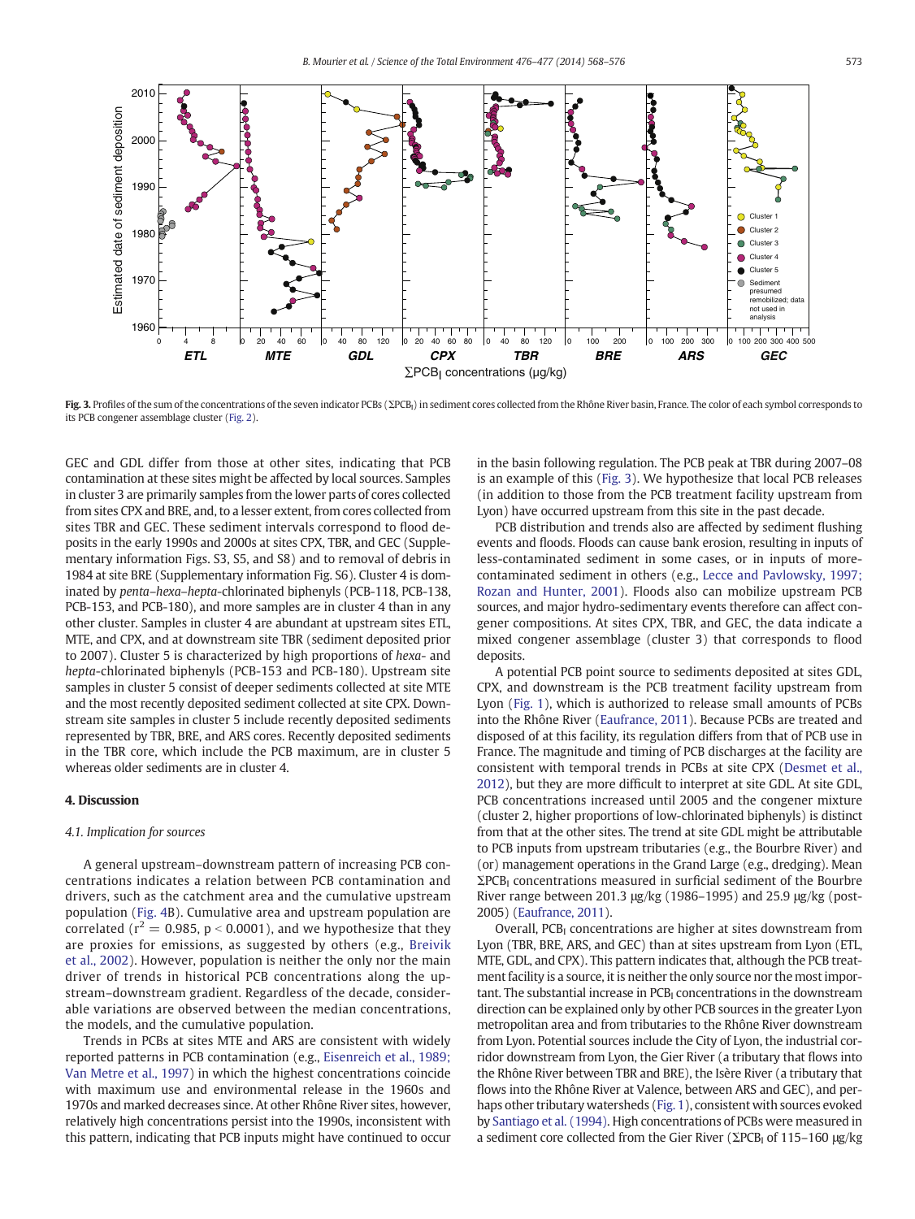<span id="page-5-0"></span>

Fig. 3. Profiles of the sum of the concentrations of the seven indicator PCBs (ΣPCB<sub>I</sub>) in sediment cores collected from the Rhône River basin, France. The color of each symbol corresponds to its PCB congener assemblage cluster [\(Fig. 2](#page-4-0)).

GEC and GDL differ from those at other sites, indicating that PCB contamination at these sites might be affected by local sources. Samples in cluster 3 are primarily samples from the lower parts of cores collected from sites CPX and BRE, and, to a lesser extent, from cores collected from sites TBR and GEC. These sediment intervals correspond to flood deposits in the early 1990s and 2000s at sites CPX, TBR, and GEC (Supplementary information Figs. S3, S5, and S8) and to removal of debris in 1984 at site BRE (Supplementary information Fig. S6). Cluster 4 is dominated by penta–hexa–hepta-chlorinated biphenyls (PCB-118, PCB-138, PCB-153, and PCB-180), and more samples are in cluster 4 than in any other cluster. Samples in cluster 4 are abundant at upstream sites ETL, MTE, and CPX, and at downstream site TBR (sediment deposited prior to 2007). Cluster 5 is characterized by high proportions of hexa- and hepta-chlorinated biphenyls (PCB-153 and PCB-180). Upstream site samples in cluster 5 consist of deeper sediments collected at site MTE and the most recently deposited sediment collected at site CPX. Downstream site samples in cluster 5 include recently deposited sediments represented by TBR, BRE, and ARS cores. Recently deposited sediments in the TBR core, which include the PCB maximum, are in cluster 5 whereas older sediments are in cluster 4.

#### 4. Discussion

#### 4.1. Implication for sources

A general upstream–downstream pattern of increasing PCB concentrations indicates a relation between PCB contamination and drivers, such as the catchment area and the cumulative upstream population [\(Fig. 4](#page-6-0)B). Cumulative area and upstream population are correlated ( $r^2 = 0.985$ ,  $p < 0.0001$ ), and we hypothesize that they are proxies for emissions, as suggested by others (e.g., [Breivik](#page-7-0) [et al., 2002\)](#page-7-0). However, population is neither the only nor the main driver of trends in historical PCB concentrations along the upstream–downstream gradient. Regardless of the decade, considerable variations are observed between the median concentrations, the models, and the cumulative population.

Trends in PCBs at sites MTE and ARS are consistent with widely reported patterns in PCB contamination (e.g., [Eisenreich et al., 1989;](#page-7-0) [Van Metre et al., 1997](#page-7-0)) in which the highest concentrations coincide with maximum use and environmental release in the 1960s and 1970s and marked decreases since. At other Rhône River sites, however, relatively high concentrations persist into the 1990s, inconsistent with this pattern, indicating that PCB inputs might have continued to occur in the basin following regulation. The PCB peak at TBR during 2007–08 is an example of this (Fig. 3). We hypothesize that local PCB releases (in addition to those from the PCB treatment facility upstream from Lyon) have occurred upstream from this site in the past decade.

PCB distribution and trends also are affected by sediment flushing events and floods. Floods can cause bank erosion, resulting in inputs of less-contaminated sediment in some cases, or in inputs of morecontaminated sediment in others (e.g., [Lecce and Pavlowsky, 1997;](#page-7-0) [Rozan and Hunter, 2001](#page-7-0)). Floods also can mobilize upstream PCB sources, and major hydro-sedimentary events therefore can affect congener compositions. At sites CPX, TBR, and GEC, the data indicate a mixed congener assemblage (cluster 3) that corresponds to flood deposits.

A potential PCB point source to sediments deposited at sites GDL, CPX, and downstream is the PCB treatment facility upstream from Lyon [\(Fig. 1](#page-2-0)), which is authorized to release small amounts of PCBs into the Rhône River ([Eaufrance, 2011](#page-7-0)). Because PCBs are treated and disposed of at this facility, its regulation differs from that of PCB use in France. The magnitude and timing of PCB discharges at the facility are consistent with temporal trends in PCBs at site CPX ([Desmet et al.,](#page-7-0) [2012\)](#page-7-0), but they are more difficult to interpret at site GDL. At site GDL, PCB concentrations increased until 2005 and the congener mixture (cluster 2, higher proportions of low-chlorinated biphenyls) is distinct from that at the other sites. The trend at site GDL might be attributable to PCB inputs from upstream tributaries (e.g., the Bourbre River) and (or) management operations in the Grand Large (e.g., dredging). Mean  $\Sigma$ PCB<sub>I</sub> concentrations measured in surficial sediment of the Bourbre River range between 201.3 μg/kg (1986–1995) and 25.9 μg/kg (post-2005) [\(Eaufrance, 2011\)](#page-7-0).

Overall,  $PCB<sub>I</sub>$  concentrations are higher at sites downstream from Lyon (TBR, BRE, ARS, and GEC) than at sites upstream from Lyon (ETL, MTE, GDL, and CPX). This pattern indicates that, although the PCB treatment facility is a source, it is neither the only source nor the most important. The substantial increase in  $PCB<sub>I</sub>$  concentrations in the downstream direction can be explained only by other PCB sources in the greater Lyon metropolitan area and from tributaries to the Rhône River downstream from Lyon. Potential sources include the City of Lyon, the industrial corridor downstream from Lyon, the Gier River (a tributary that flows into the Rhône River between TBR and BRE), the Isère River (a tributary that flows into the Rhône River at Valence, between ARS and GEC), and perhaps other tributary watersheds ([Fig. 1\)](#page-2-0), consistent with sources evoked by [Santiago et al. \(1994\)](#page-8-0). High concentrations of PCBs were measured in a sediment core collected from the Gier River ( $\Sigma$ PCB<sub>I</sub> of 115–160 μg/kg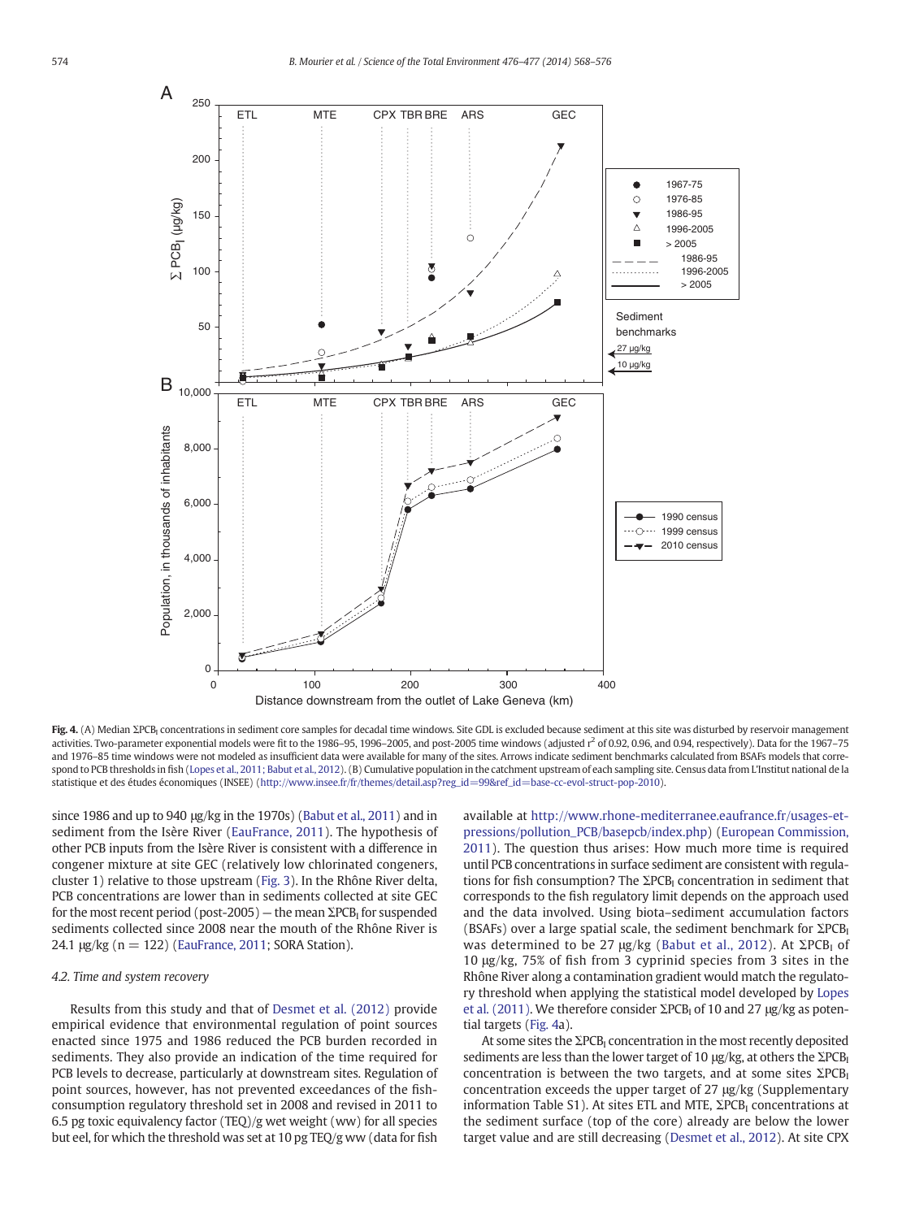<span id="page-6-0"></span>

Fig. 4. (A) Median ΣPCB<sub>I</sub> concentrations in sediment core samples for decadal time windows. Site GDL is excluded because sediment at this site was disturbed by reservoir management activities. Two-parameter exponential models were fit to the 1986-95, 1996-2005, and post-2005 time windows (adjusted r<sup>2</sup> of 0.92, 0.96, and 0.94, respectively). Data for the 1967-75 and 1976–85 time windows were not modeled as insufficient data were available for many of the sites. Arrows indicate sediment benchmarks calculated from BSAFs models that corre-spond to PCB thresholds in fish [\(Lopes et al., 2011; Babut et al., 2012](#page-7-0)). (B) Cumulative population in the catchment upstream of each sampling site. Census data from L'Institut national de la statistique et des études économiques (INSEE) ([http://www.insee.fr/fr/themes/detail.asp?reg\\_id=99&ref\\_id=base-cc-evol-struct-pop-2010\)](http://www.insee.fr/fr/themes/detail.asp?reg_id=99&ref_id=base-cc-evol-struct-pop-2010)).

since 1986 and up to 940 μg/kg in the 1970s) [\(Babut et al., 2011](#page-7-0)) and in sediment from the Isère River ([EauFrance, 2011](#page-7-0)). The hypothesis of other PCB inputs from the Isère River is consistent with a difference in congener mixture at site GEC (relatively low chlorinated congeners, cluster 1) relative to those upstream [\(Fig. 3\)](#page-5-0). In the Rhône River delta, PCB concentrations are lower than in sediments collected at site GEC for the most recent period (post-2005) — the mean  $\Sigma PCB<sub>I</sub>$  for suspended sediments collected since 2008 near the mouth of the Rhône River is 24.1  $\mu$ g/kg (n = 122) ([EauFrance, 2011;](#page-7-0) SORA Station).

#### 4.2. Time and system recovery

Results from this study and that of [Desmet et al. \(2012\)](#page-7-0) provide empirical evidence that environmental regulation of point sources enacted since 1975 and 1986 reduced the PCB burden recorded in sediments. They also provide an indication of the time required for PCB levels to decrease, particularly at downstream sites. Regulation of point sources, however, has not prevented exceedances of the fishconsumption regulatory threshold set in 2008 and revised in 2011 to 6.5 pg toxic equivalency factor (TEQ)/g wet weight (ww) for all species but eel, for which the threshold was set at 10 pg TEQ/g ww (data for fish

available at [http://www.rhone-mediterranee.eaufrance.fr/usages-et](http://www.rhone-mediterranee.eaufrance.fr/usages-et-pressions/pollution_PCB/basepcb/index.php))[pressions/pollution\\_PCB/basepcb/index.php](http://www.rhone-mediterranee.eaufrance.fr/usages-et-pressions/pollution_PCB/basepcb/index.php))) ([European Commission,](#page-7-0) [2011](#page-7-0)). The question thus arises: How much more time is required until PCB concentrations in surface sediment are consistent with regulations for fish consumption? The  $\Sigma$ PCB<sub>I</sub> concentration in sediment that corresponds to the fish regulatory limit depends on the approach used and the data involved. Using biota–sediment accumulation factors (BSAFs) over a large spatial scale, the sediment benchmark for  $\Sigma PCB<sub>I</sub>$ was determined to be 27  $\mu$ g/kg ([Babut et al., 2012\)](#page-7-0). At  $\Sigma$ PCB<sub>I</sub> of 10 μg/kg, 75% of fish from 3 cyprinid species from 3 sites in the Rhône River along a contamination gradient would match the regulatory threshold when applying the statistical model developed by [Lopes](#page-7-0) [et al. \(2011\)](#page-7-0). We therefore consider  $\Sigma$ PCB<sub>I</sub> of 10 and 27 μg/kg as potential targets (Fig. 4a).

At some sites the  $\Sigma$ PCB<sub>I</sub> concentration in the most recently deposited sediments are less than the lower target of 10  $\mu$ g/kg, at others the ΣPCB<sub>I</sub> concentration is between the two targets, and at some sites  $\Sigma PCB_I$ concentration exceeds the upper target of 27 μg/kg (Supplementary information Table S1). At sites ETL and MTE,  $\Sigma$ PCB<sub>I</sub> concentrations at the sediment surface (top of the core) already are below the lower target value and are still decreasing [\(Desmet et al., 2012\)](#page-7-0). At site CPX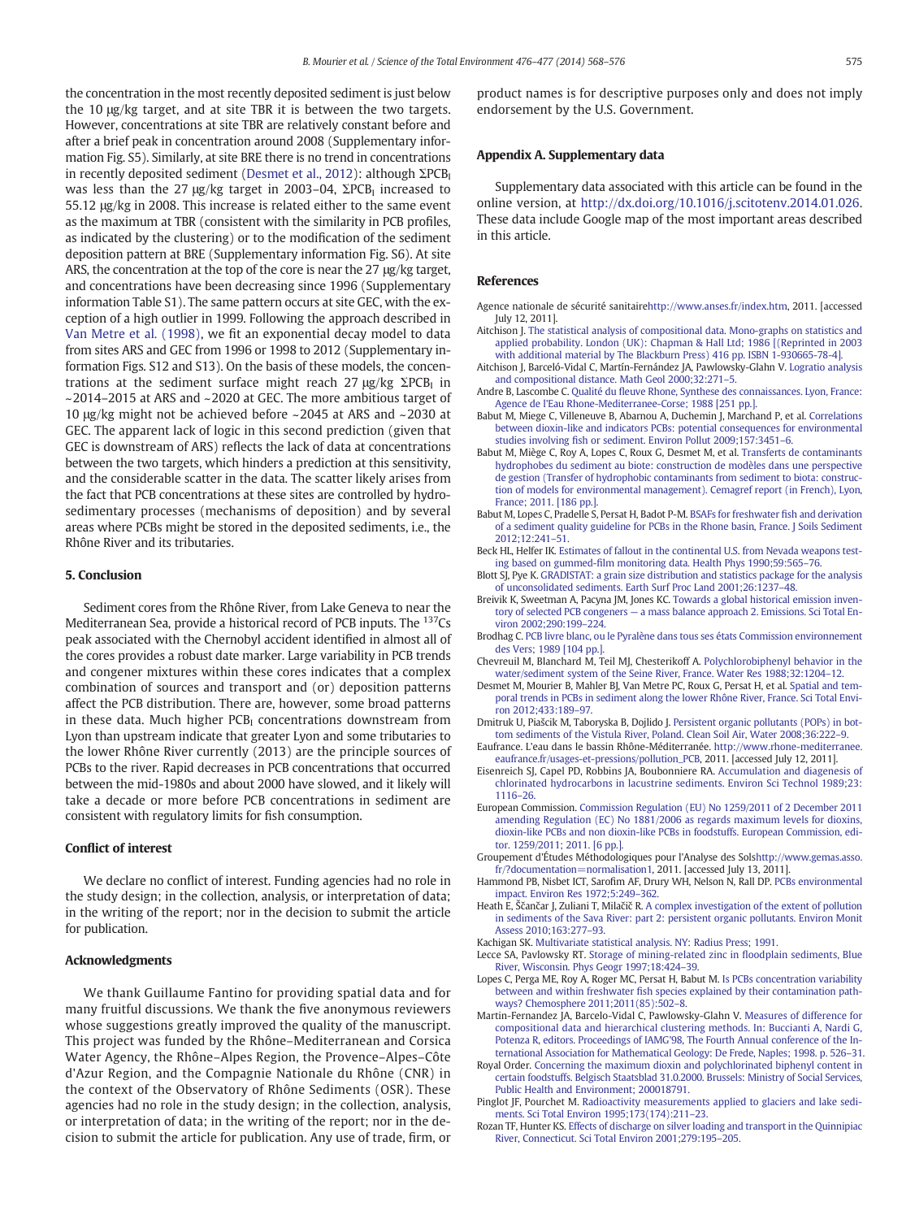<span id="page-7-0"></span>the concentration in the most recently deposited sediment is just below the 10 μg/kg target, and at site TBR it is between the two targets. However, concentrations at site TBR are relatively constant before and after a brief peak in concentration around 2008 (Supplementary information Fig. S5). Similarly, at site BRE there is no trend in concentrations in recently deposited sediment (Desmet et al., 2012): although  $\Sigma PCB_I$ was less than the 27 μg/kg target in 2003–04,  $\Sigma$ PCB<sub>I</sub> increased to 55.12 μg/kg in 2008. This increase is related either to the same event as the maximum at TBR (consistent with the similarity in PCB profiles, as indicated by the clustering) or to the modification of the sediment deposition pattern at BRE (Supplementary information Fig. S6). At site ARS, the concentration at the top of the core is near the 27 μg/kg target, and concentrations have been decreasing since 1996 (Supplementary information Table S1). The same pattern occurs at site GEC, with the exception of a high outlier in 1999. Following the approach described in [Van Metre et al. \(1998\),](#page-8-0) we fit an exponential decay model to data from sites ARS and GEC from 1996 or 1998 to 2012 (Supplementary information Figs. S12 and S13). On the basis of these models, the concentrations at the sediment surface might reach 27  $\mu$ g/kg  $\Sigma$ PCB<sub>I</sub> in ~2014–2015 at ARS and ~2020 at GEC. The more ambitious target of 10 μg/kg might not be achieved before ~2045 at ARS and ~2030 at GEC. The apparent lack of logic in this second prediction (given that GEC is downstream of ARS) reflects the lack of data at concentrations between the two targets, which hinders a prediction at this sensitivity, and the considerable scatter in the data. The scatter likely arises from the fact that PCB concentrations at these sites are controlled by hydrosedimentary processes (mechanisms of deposition) and by several areas where PCBs might be stored in the deposited sediments, i.e., the Rhône River and its tributaries.

#### 5. Conclusion

Sediment cores from the Rhône River, from Lake Geneva to near the Mediterranean Sea, provide a historical record of PCB inputs. The <sup>137</sup>Cs peak associated with the Chernobyl accident identified in almost all of the cores provides a robust date marker. Large variability in PCB trends and congener mixtures within these cores indicates that a complex combination of sources and transport and (or) deposition patterns affect the PCB distribution. There are, however, some broad patterns in these data. Much higher  $PCB<sub>I</sub>$  concentrations downstream from Lyon than upstream indicate that greater Lyon and some tributaries to the lower Rhône River currently (2013) are the principle sources of PCBs to the river. Rapid decreases in PCB concentrations that occurred between the mid-1980s and about 2000 have slowed, and it likely will take a decade or more before PCB concentrations in sediment are consistent with regulatory limits for fish consumption.

#### Conflict of interest

We declare no conflict of interest. Funding agencies had no role in the study design; in the collection, analysis, or interpretation of data; in the writing of the report; nor in the decision to submit the article for publication.

#### Acknowledgments

We thank Guillaume Fantino for providing spatial data and for many fruitful discussions. We thank the five anonymous reviewers whose suggestions greatly improved the quality of the manuscript. This project was funded by the Rhône–Mediterranean and Corsica Water Agency, the Rhône–Alpes Region, the Provence–Alpes–Côte d'Azur Region, and the Compagnie Nationale du Rhône (CNR) in the context of the Observatory of Rhône Sediments (OSR). These agencies had no role in the study design; in the collection, analysis, or interpretation of data; in the writing of the report; nor in the decision to submit the article for publication. Any use of trade, firm, or product names is for descriptive purposes only and does not imply endorsement by the U.S. Government.

#### Appendix A. Supplementary data

Supplementary data associated with this article can be found in the online version, at [http://dx.doi.org/10.1016/j.scitotenv.2014.01.026.](http://dx.doi.org/10.1016/j.scitotenv.2014.01.026) These data include Google map of the most important areas described in this article.

#### References

- Agence nationale de sécurité sanitaire[http://www.anses.fr/index.htm,](http://www.anses.fr/index.htm) 2011. [accessed July 12, 2011].
- Aitchison J. [The statistical analysis of compositional data. Mono-graphs on statistics and](http://refhub.elsevier.com/S0048-9697(14)00035-7/rf0145) [applied probability. London \(UK\): Chapman & Hall Ltd; 1986 \[\(Reprinted in 2003](http://refhub.elsevier.com/S0048-9697(14)00035-7/rf0145) [with additional material by The Blackburn Press\) 416 pp. ISBN 1-930665-78-4\].](http://refhub.elsevier.com/S0048-9697(14)00035-7/rf0145)
- Aitchison J, Barceló-Vidal C, Martín-Fernández JA, Pawlowsky-Glahn V. [Logratio analysis](http://refhub.elsevier.com/S0048-9697(14)00035-7/rf0005) [and compositional distance. Math Geol 2000;32:271](http://refhub.elsevier.com/S0048-9697(14)00035-7/rf0005)–5.
- Andre B, Lascombe C. Qualité du fl[euve Rhone, Synthese des connaissances. Lyon, France:](http://refhub.elsevier.com/S0048-9697(14)00035-7/rf0010) [Agence de l'Eau Rhone-Mediterranee-Corse; 1988 \[251 pp.\].](http://refhub.elsevier.com/S0048-9697(14)00035-7/rf0010)
- Babut M, Miege C, Villeneuve B, Abarnou A, Duchemin J, Marchand P, et al. [Correlations](http://refhub.elsevier.com/S0048-9697(14)00035-7/rf0015) [between dioxin-like and indicators PCBs: potential consequences for environmental](http://refhub.elsevier.com/S0048-9697(14)00035-7/rf0015) studies involving fi[sh or sediment. Environ Pollut 2009;157:3451](http://refhub.elsevier.com/S0048-9697(14)00035-7/rf0015)–6.
- Babut M, Miège C, Roy A, Lopes C, Roux G, Desmet M, et al. [Transferts de contaminants](http://refhub.elsevier.com/S0048-9697(14)00035-7/rf0150) [hydrophobes du sediment au biote: construction de modèles dans une perspective](http://refhub.elsevier.com/S0048-9697(14)00035-7/rf0150) [de gestion \(Transfer of hydrophobic contaminants from sediment to biota: construc](http://refhub.elsevier.com/S0048-9697(14)00035-7/rf0150)[tion of models for environmental management\). Cemagref report \(in French\), Lyon,](http://refhub.elsevier.com/S0048-9697(14)00035-7/rf0150) [France; 2011. \[186 pp.\].](http://refhub.elsevier.com/S0048-9697(14)00035-7/rf0150)
- Babut M, Lopes C, Pradelle S, Persat H, Badot P-M. [BSAFs for freshwater](http://refhub.elsevier.com/S0048-9697(14)00035-7/rf0020) fish and derivation [of a sediment quality guideline for PCBs in the Rhone basin, France. J Soils Sediment](http://refhub.elsevier.com/S0048-9697(14)00035-7/rf0020) [2012;12:241](http://refhub.elsevier.com/S0048-9697(14)00035-7/rf0020)–51.
- Beck HL, Helfer IK. [Estimates of fallout in the continental U.S. from Nevada weapons test](http://refhub.elsevier.com/S0048-9697(14)00035-7/rf0025)ing based on gummed-fi[lm monitoring data. Health Phys 1990;59:565](http://refhub.elsevier.com/S0048-9697(14)00035-7/rf0025)–76.
- Blott SJ, Pye K. [GRADISTAT: a grain size distribution and statistics package for the analysis](http://refhub.elsevier.com/S0048-9697(14)00035-7/rf0030) [of unconsolidated sediments. Earth Surf Proc Land 2001;26:1237](http://refhub.elsevier.com/S0048-9697(14)00035-7/rf0030)–48.
- Breivik K, Sweetman A, Pacyna JM, Jones KC. [Towards a global historical emission inven](http://refhub.elsevier.com/S0048-9697(14)00035-7/rf0035)tory of selected PCB congeners — [a mass balance approach 2. Emissions. Sci Total En](http://refhub.elsevier.com/S0048-9697(14)00035-7/rf0035)[viron 2002;290:199](http://refhub.elsevier.com/S0048-9697(14)00035-7/rf0035)–224.
- Brodhag C. [PCB livre blanc, ou le Pyralène dans tous ses états Commission environnement](http://refhub.elsevier.com/S0048-9697(14)00035-7/rf0155) [des Vers; 1989 \[104 pp.\].](http://refhub.elsevier.com/S0048-9697(14)00035-7/rf0155)
- Chevreuil M, Blanchard M, Teil MJ, Chesterikoff A. [Polychlorobiphenyl behavior in the](http://refhub.elsevier.com/S0048-9697(14)00035-7/rf0040) [water/sediment system of the Seine River, France. Water Res 1988;32:1204](http://refhub.elsevier.com/S0048-9697(14)00035-7/rf0040)–12.
- Desmet M, Mourier B, Mahler BJ, Van Metre PC, Roux G, Persat H, et al. [Spatial and tem](http://refhub.elsevier.com/S0048-9697(14)00035-7/rf0045)[poral trends in PCBs in sediment along the lower Rhône River, France. Sci Total Envi](http://refhub.elsevier.com/S0048-9697(14)00035-7/rf0045)[ron 2012;433:189](http://refhub.elsevier.com/S0048-9697(14)00035-7/rf0045)–97.
- Dmitruk U, Piašcik M, Taboryska B, Dojlido J. [Persistent organic pollutants \(POPs\) in bot](http://refhub.elsevier.com/S0048-9697(14)00035-7/rf0050)[tom sediments of the Vistula River, Poland. Clean Soil Air, Water 2008;36:222](http://refhub.elsevier.com/S0048-9697(14)00035-7/rf0050)–9.
- Eaufrance. L'eau dans le bassin Rhône-Méditerranée. [http://www.rhone-mediterranee.](http://www.rhone-mediterranee.eaufrance.fr/usages-et-pressions/pollution_PCB) [eaufrance.fr/usages-et-pressions/pollution\\_PCB,](http://www.rhone-mediterranee.eaufrance.fr/usages-et-pressions/pollution_PCB) 2011. [accessed July 12, 2011].
- Eisenreich SJ, Capel PD, Robbins JA, Boubonniere RA. [Accumulation and diagenesis of](http://refhub.elsevier.com/S0048-9697(14)00035-7/rf0055) [chlorinated hydrocarbons in lacustrine sediments. Environ Sci Technol 1989;23:](http://refhub.elsevier.com/S0048-9697(14)00035-7/rf0055) [1116](http://refhub.elsevier.com/S0048-9697(14)00035-7/rf0055)–26.
- European Commission. [Commission Regulation \(EU\) No 1259/2011 of 2 December 2011](http://refhub.elsevier.com/S0048-9697(14)00035-7/rf0165) [amending Regulation \(EC\) No 1881/2006 as regards maximum levels for dioxins,](http://refhub.elsevier.com/S0048-9697(14)00035-7/rf0165) [dioxin-like PCBs and non dioxin-like PCBs in foodstuffs. European Commission, edi](http://refhub.elsevier.com/S0048-9697(14)00035-7/rf0165)[tor. 1259/2011; 2011. \[6 pp.\].](http://refhub.elsevier.com/S0048-9697(14)00035-7/rf0165)

Groupement d'Études Méthodologiques pour l'Analyse des Sol[shttp://www.gemas.asso.](http://www.gemas.asso.fr/?documentation=normalisation1) [fr/?documentation=normalisation1,](http://www.gemas.asso.fr/?documentation=normalisation1) 2011. [accessed July 13, 2011].

- Hammond PB, Nisbet ICT, Sarofim AF, Drury WH, Nelson N, Rall DP. [PCBs environmental](http://refhub.elsevier.com/S0048-9697(14)00035-7/rf0060) [impact. Environ Res 1972;5:249](http://refhub.elsevier.com/S0048-9697(14)00035-7/rf0060)–362.
- Heath E, Ščančar J, Zuliani T, Milačič R. [A complex investigation of the extent of pollution](http://refhub.elsevier.com/S0048-9697(14)00035-7/rf0065) [in sediments of the Sava River: part 2: persistent organic pollutants. Environ Monit](http://refhub.elsevier.com/S0048-9697(14)00035-7/rf0065) [Assess 2010;163:277](http://refhub.elsevier.com/S0048-9697(14)00035-7/rf0065)–93.

Kachigan SK. [Multivariate statistical analysis. NY: Radius Press; 1991.](http://refhub.elsevier.com/S0048-9697(14)00035-7/rf0070)

- Lecce SA, Pavlowsky RT. [Storage of mining-related zinc in](http://refhub.elsevier.com/S0048-9697(14)00035-7/rf0075) floodplain sediments, Blue [River, Wisconsin. Phys Geogr 1997;18:424](http://refhub.elsevier.com/S0048-9697(14)00035-7/rf0075)–39.
- Lopes C, Perga ME, Roy A, Roger MC, Persat H, Babut M. [Is PCBs concentration variability](http://refhub.elsevier.com/S0048-9697(14)00035-7/rf0080) between and within freshwater fi[sh species explained by their contamination path](http://refhub.elsevier.com/S0048-9697(14)00035-7/rf0080)[ways? Chemosphere 2011;2011\(85\):502](http://refhub.elsevier.com/S0048-9697(14)00035-7/rf0080)–8.
- Martin-Fernandez JA, Barcelo-Vidal C, Pawlowsky-Glahn V. [Measures of difference for](http://refhub.elsevier.com/S0048-9697(14)00035-7/rf0175) [compositional data and hierarchical clustering methods. In: Buccianti A, Nardi G,](http://refhub.elsevier.com/S0048-9697(14)00035-7/rf0175) [Potenza R, editors. Proceedings of IAMG'98, The Fourth Annual conference of the In](http://refhub.elsevier.com/S0048-9697(14)00035-7/rf0175)[ternational Association for Mathematical Geology: De Frede, Naples; 1998. p. 526](http://refhub.elsevier.com/S0048-9697(14)00035-7/rf0175)–31.
- Royal Order. [Concerning the maximum dioxin and polychlorinated biphenyl content in](http://refhub.elsevier.com/S0048-9697(14)00035-7/rf0090) [certain foodstuffs. Belgisch Staatsblad 31.0.2000. Brussels: Ministry of Social Services,](http://refhub.elsevier.com/S0048-9697(14)00035-7/rf0090) [Public Health and Environment; 200018791.](http://refhub.elsevier.com/S0048-9697(14)00035-7/rf0090)
- Pinglot JF, Pourchet M. [Radioactivity measurements applied to glaciers and lake sedi](http://refhub.elsevier.com/S0048-9697(14)00035-7/rf0085)[ments. Sci Total Environ 1995;173\(174\):211](http://refhub.elsevier.com/S0048-9697(14)00035-7/rf0085)–23.
- Rozan TF, Hunter KS. [Effects of discharge on silver loading and transport in the Quinnipiac](http://refhub.elsevier.com/S0048-9697(14)00035-7/rf0095) [River, Connecticut. Sci Total Environ 2001;279:195](http://refhub.elsevier.com/S0048-9697(14)00035-7/rf0095)–205.